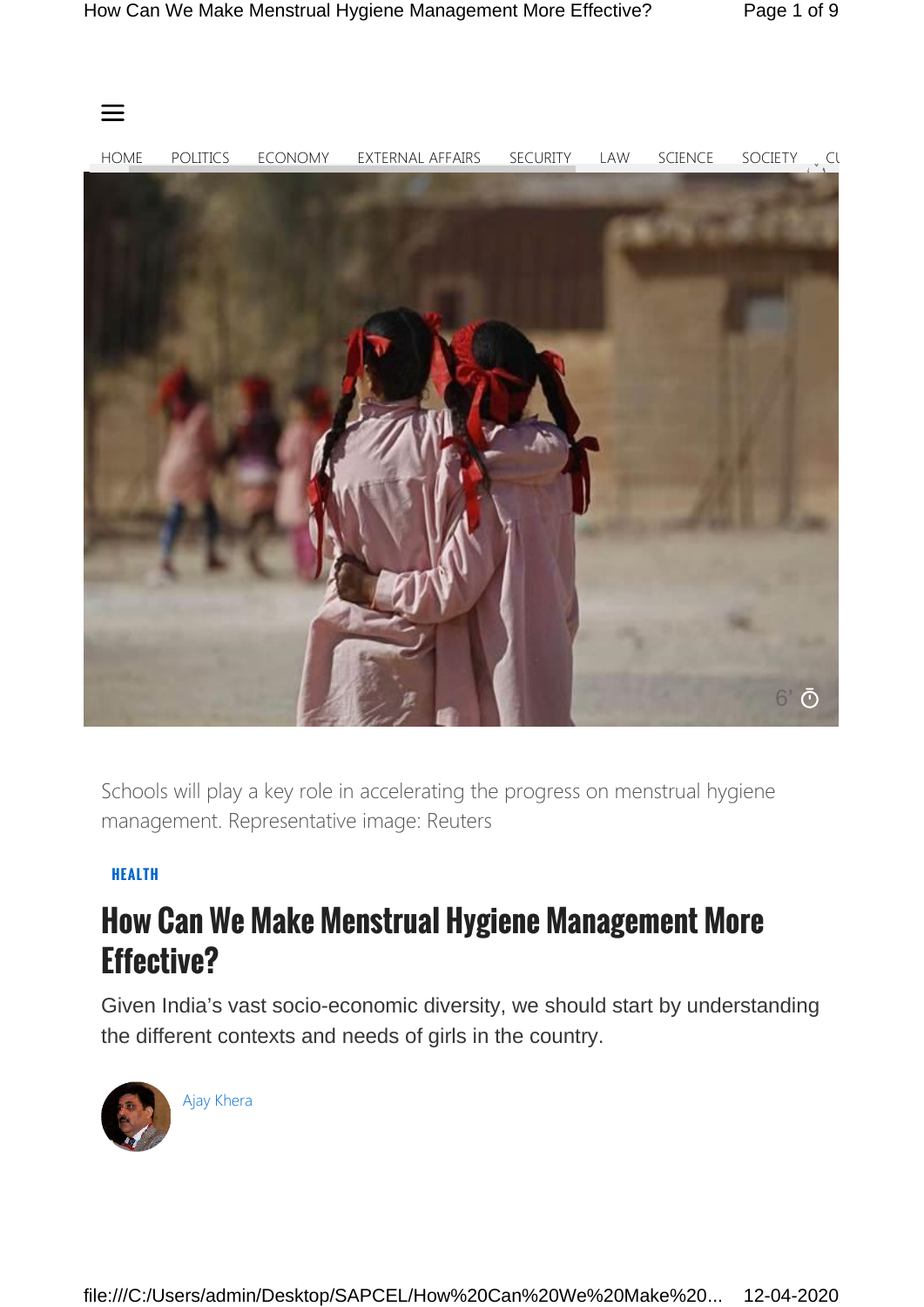

Schools will play a key role in accelerating the progress on menstrual hygiene management. Representative image: Reuters

## **HEALTH**

## **How Can We Make Menstrual Hygiene Management More Effective?**

Given India's vast socio-economic diversity, we should start by understanding the different contexts and needs of girls in the country.



Ajay Khera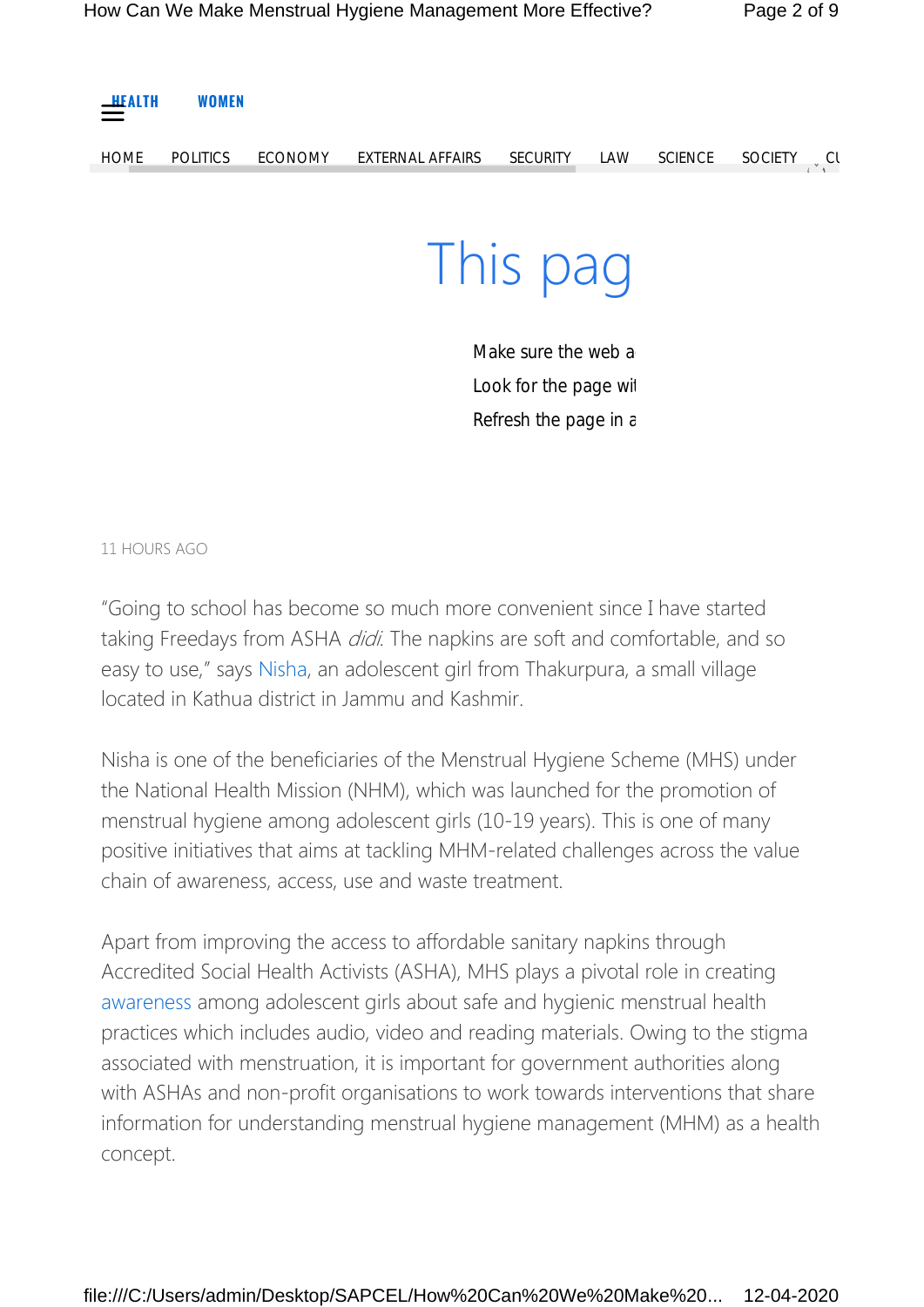| $\frac{\text{H}(\text{A} \cdot \text{A})}{\text{H}(\text{A} \cdot \text{A})}$ | <b>WOMEN</b>    |                |                  |                 |     |                |                             |  |
|-------------------------------------------------------------------------------|-----------------|----------------|------------------|-----------------|-----|----------------|-----------------------------|--|
| <b>HOME</b>                                                                   | <b>POLITICS</b> | <b>ECONOMY</b> | EXTERNAL AFFAIRS | <b>SECURITY</b> | LAW | <b>SCIENCE</b> | <b>SOCIETY</b><br>$\sim$ Cl |  |
|                                                                               |                 |                |                  |                 |     |                |                             |  |
|                                                                               |                 |                |                  | This pag        |     |                |                             |  |

Make sure the web a Look for the page with Refresh the page in a

11 HOURS AGO

"Going to school has become so much more convenient since I have started taking Freedays from ASHA *didi*. The napkins are soft and comfortable, and so easy to use," says Nisha, an adolescent girl from Thakurpura, a small village located in Kathua district in Jammu and Kashmir.

Nisha is one of the beneficiaries of the Menstrual Hygiene Scheme (MHS) under the National Health Mission (NHM), which was launched for the promotion of menstrual hygiene among adolescent girls (10-19 years). This is one of many positive initiatives that aims at tackling MHM-related challenges across the value chain of awareness, access, use and waste treatment.

Apart from improving the access to affordable sanitary napkins through Accredited Social Health Activists (ASHA), MHS plays a pivotal role in creating awareness among adolescent girls about safe and hygienic menstrual health practices which includes audio, video and reading materials. Owing to the stigma associated with menstruation, it is important for government authorities along with ASHAs and non-profit organisations to work towards interventions that share information for understanding menstrual hygiene management (MHM) as a health concept.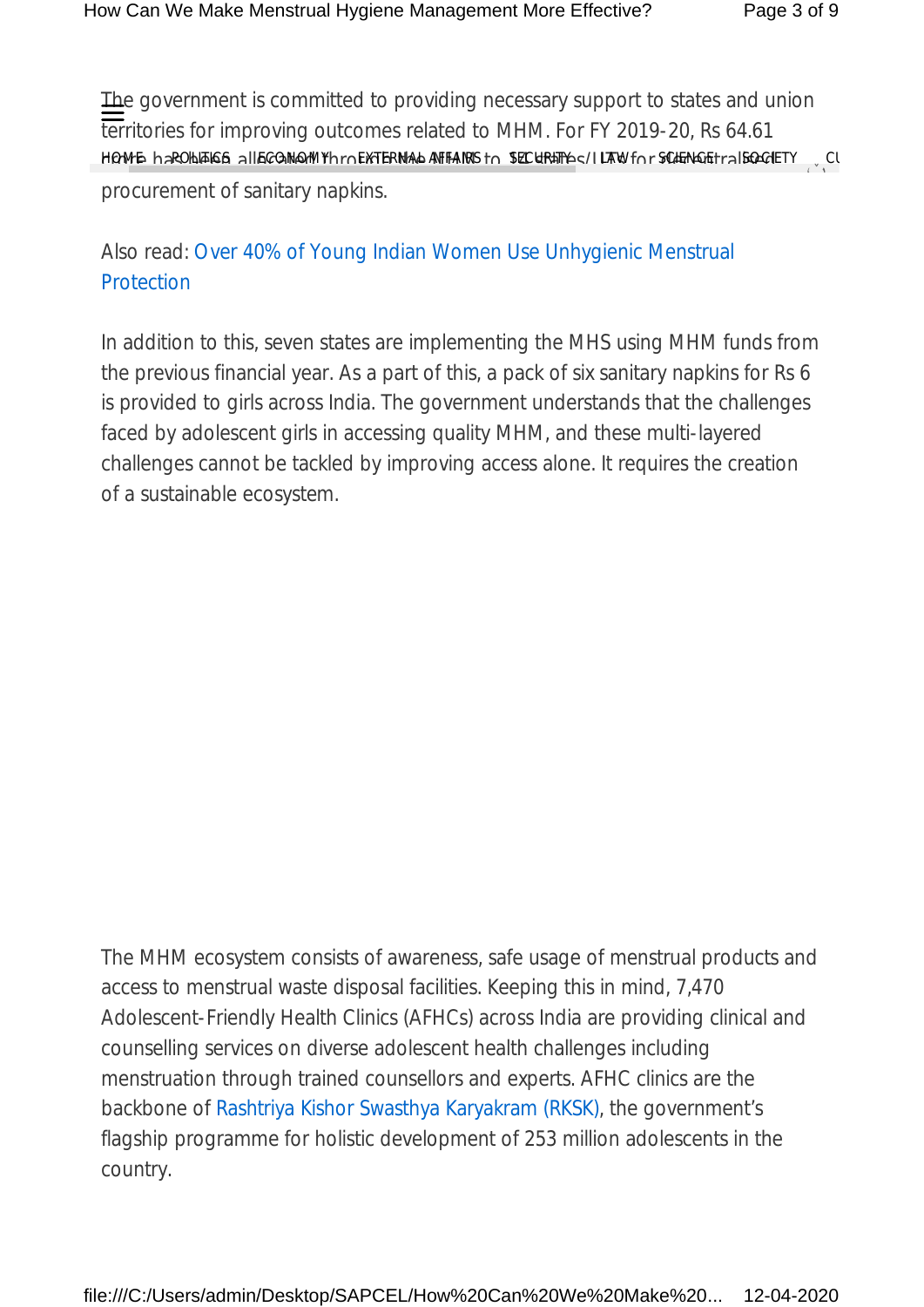The government is committed to providing necessary support to states and union territories for improving outcomes related to MHM. For FY 2019-20, Rs 64.61 HOME haROHEIGS AllEGOMQMYhroEXTERNAL AFFAIRS to SECURITY (LAW for SCIENGE traliso CIETY) CU procurement of sanitary napkins.  $\sum_{i=1}^{N}$ 

Also read: Over 40% of Young Indian Women Use Unhygienic Menstrual **Protection** 

In addition to this, seven states are implementing the MHS using MHM funds from the previous financial year. As a part of this, a pack of six sanitary napkins for Rs 6 is provided to girls across India. The government understands that the challenges faced by adolescent girls in accessing quality MHM, and these multi-layered challenges cannot be tackled by improving access alone. It requires the creation of a sustainable ecosystem.

The MHM ecosystem consists of awareness, safe usage of menstrual products and access to menstrual waste disposal facilities. Keeping this in mind, 7,470 Adolescent-Friendly Health Clinics (AFHCs) across India are providing clinical and counselling services on diverse adolescent health challenges including menstruation through trained counsellors and experts. AFHC clinics are the backbone of Rashtriya Kishor Swasthya Karyakram (RKSK), the government's flagship programme for holistic development of 253 million adolescents in the country.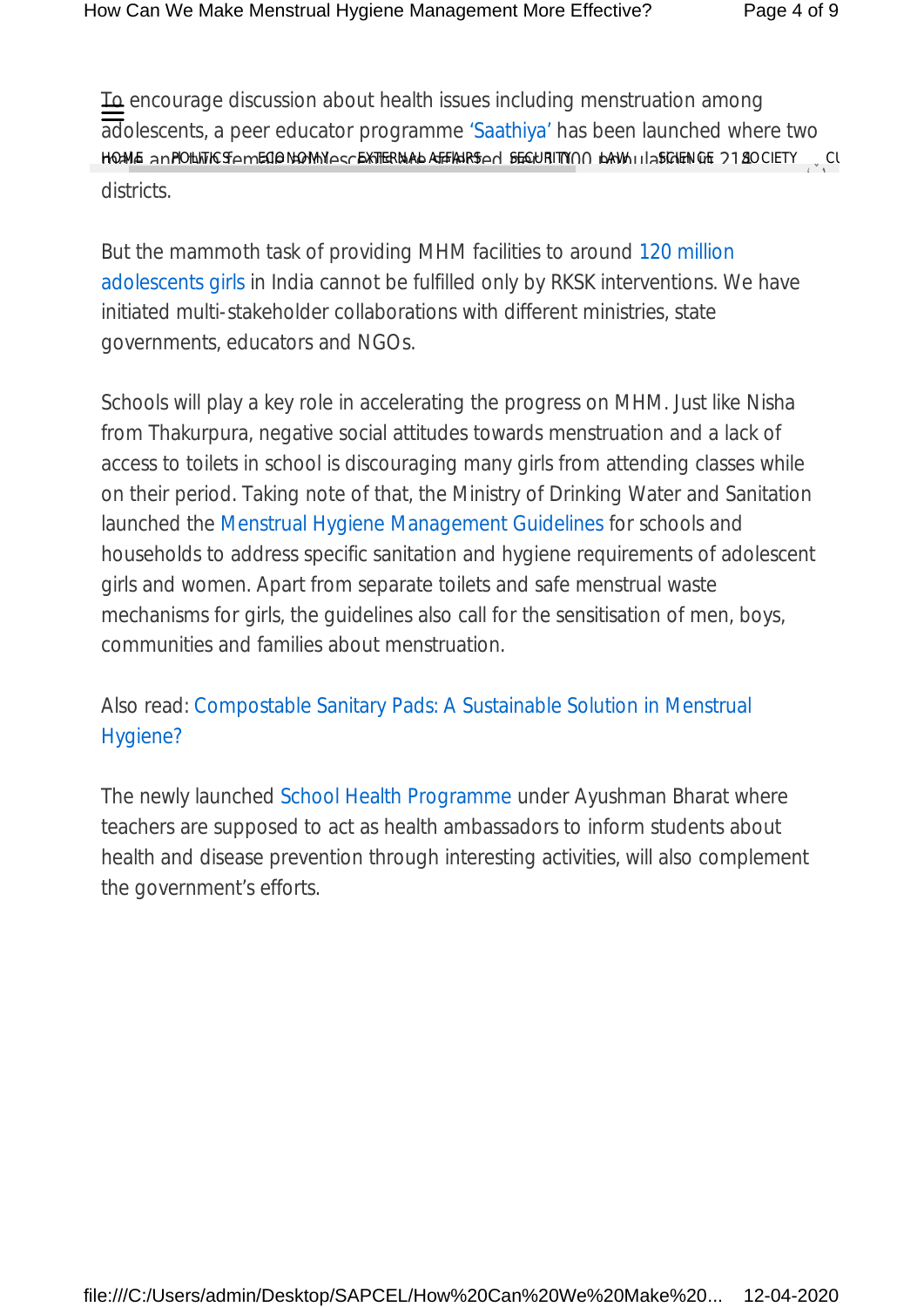To encourage discussion about health issues including menstruation among adolescents, a peer educator programme 'Saathiya' has been launched where two HQAME ANPOLITICSAMECIONGOMYASNEXTERNAL AFFIAIRSAN SEGURITYNN LAW II ASCIENCE 2180CIETY <sub>v</sub>CU districts.  $\sum_{i=1}^{N}$ 

But the mammoth task of providing MHM facilities to around 120 million adolescents girls in India cannot be fulfilled only by RKSK interventions. We have initiated multi-stakeholder collaborations with different ministries, state governments, educators and NGOs.

Schools will play a key role in accelerating the progress on MHM. Just like Nisha from Thakurpura, negative social attitudes towards menstruation and a lack of access to toilets in school is discouraging many girls from attending classes while on their period. Taking note of that, the Ministry of Drinking Water and Sanitation launched the Menstrual Hygiene Management Guidelines for schools and households to address specific sanitation and hygiene requirements of adolescent girls and women. Apart from separate toilets and safe menstrual waste mechanisms for girls, the guidelines also call for the sensitisation of men, boys, communities and families about menstruation.

Also read: Compostable Sanitary Pads: A Sustainable Solution in Menstrual Hygiene?

The newly launched School Health Programme under Ayushman Bharat where teachers are supposed to act as health ambassadors to inform students about health and disease prevention through interesting activities, will also complement the government's efforts.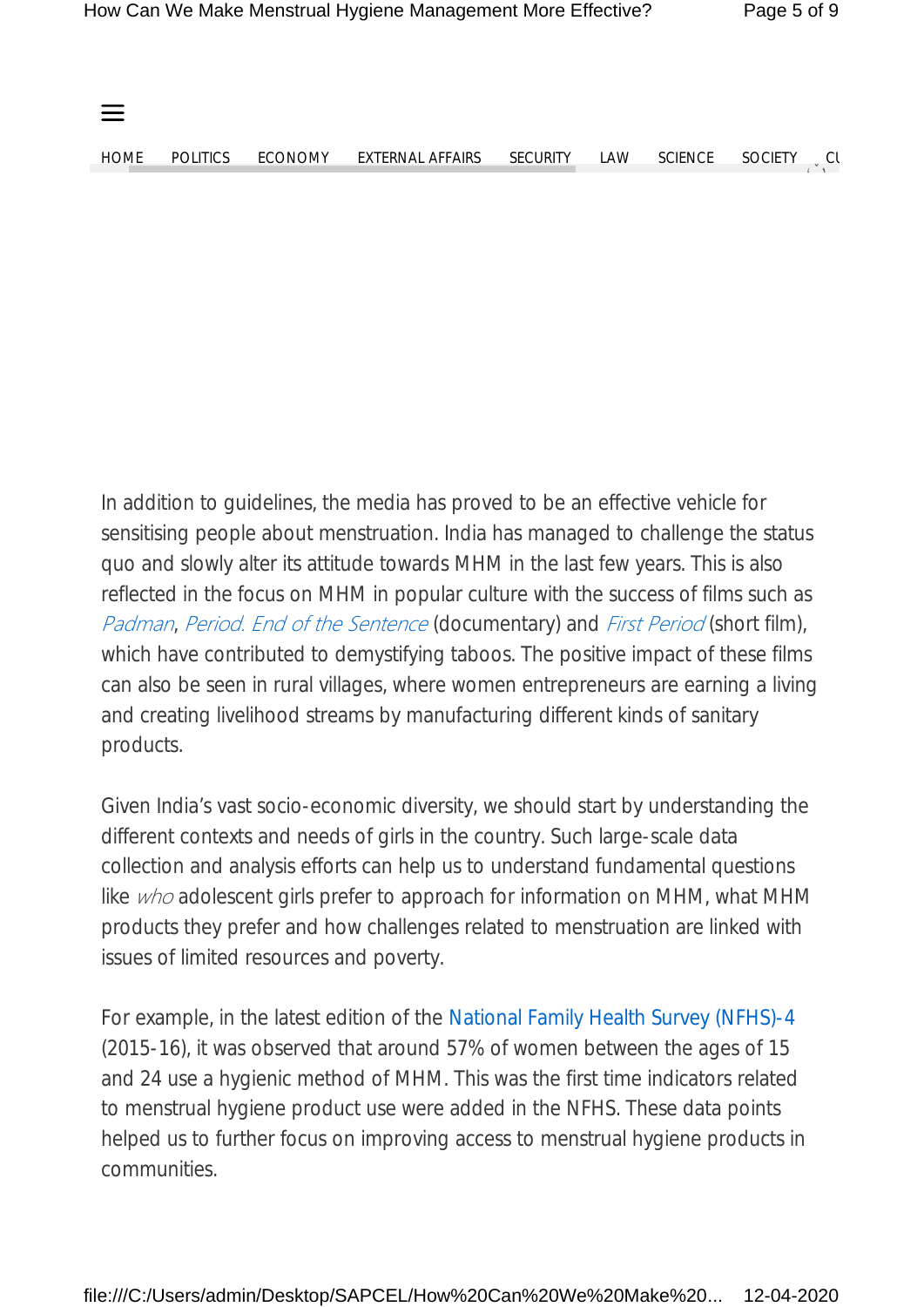

In addition to guidelines, the media has proved to be an effective vehicle for sensitising people about menstruation. India has managed to challenge the status quo and slowly alter its attitude towards MHM in the last few years. This is also reflected in the focus on MHM in popular culture with the success of films such as *Padman*, *Period. End of the Sentence* (documentary) and *First Period* (short film), which have contributed to demystifying taboos. The positive impact of these films can also be seen in rural villages, where women entrepreneurs are earning a living and creating livelihood streams by manufacturing different kinds of sanitary products.

Given India's vast socio-economic diversity, we should start by understanding the different contexts and needs of girls in the country. Such large-scale data collection and analysis efforts can help us to understand fundamental questions like *who* adolescent girls prefer to approach for information on MHM, what MHM products they prefer and how challenges related to menstruation are linked with issues of limited resources and poverty.

For example, in the latest edition of the National Family Health Survey (NFHS)-4 (2015-16), it was observed that around 57% of women between the ages of 15 and 24 use a hygienic method of MHM. This was the first time indicators related to menstrual hygiene product use were added in the NFHS. These data points helped us to further focus on improving access to menstrual hygiene products in communities.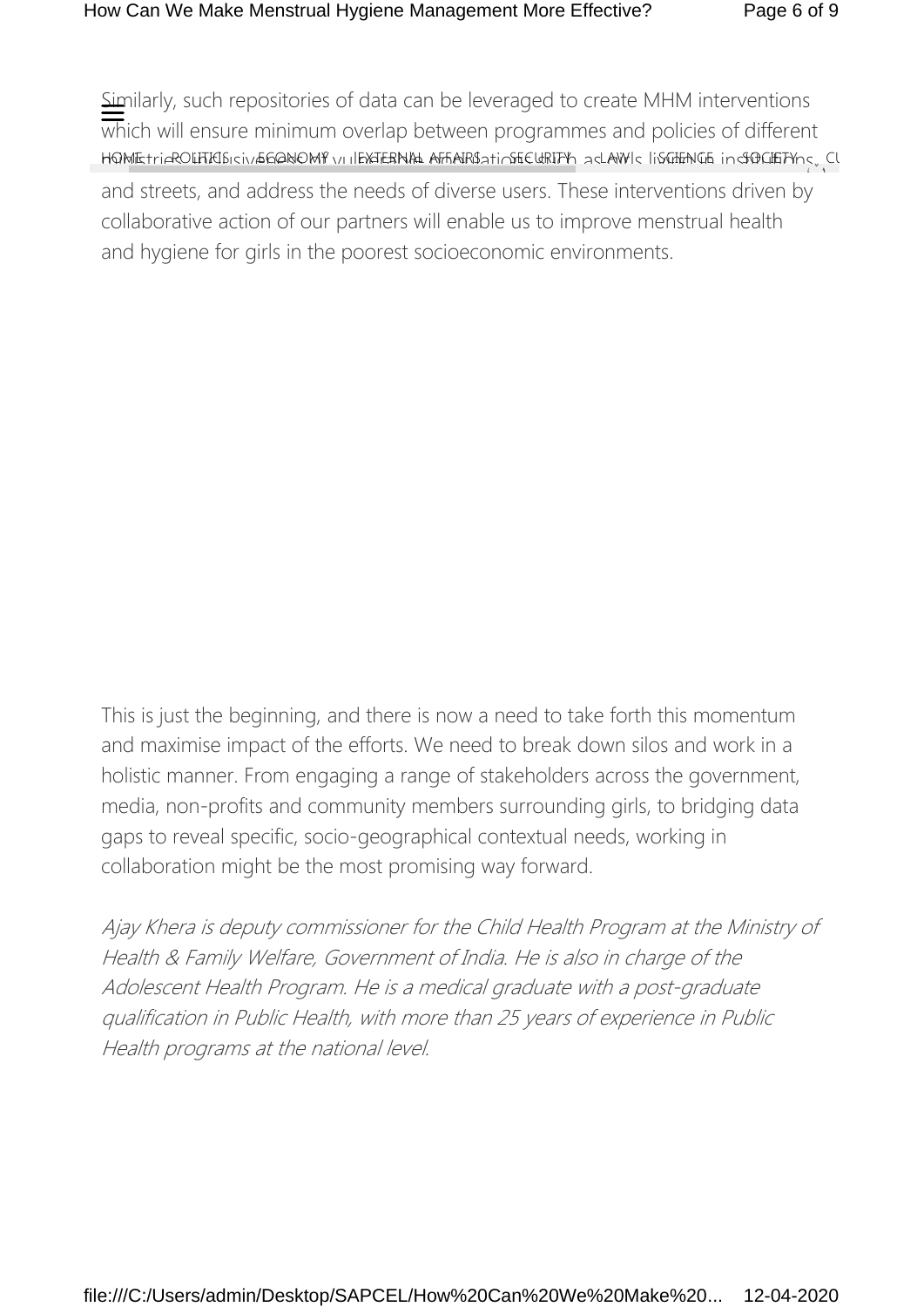Similarly, such repositories of data can be leveraged to create MHM interventions which will ensure minimum overlap between programmes and policies of different HQMEtriaROLITICISIONIGGQNOMY vullEXTERNIAL AFFIAIRISA tinsfECURITY ad LAW Id IisGIENGE indfOGIETYndyn Cl and streets, and address the needs of diverse users. These interventions driven by collaborative action of our partners will enable us to improve menstrual health and hygiene for girls in the poorest socioeconomic environments.  $\frac{1}{1}$ 

This is just the beginning, and there is now a need to take forth this momentum and maximise impact of the efforts. We need to break down silos and work in a holistic manner. From engaging a range of stakeholders across the government, media, non-profits and community members surrounding girls, to bridging data gaps to reveal specific, socio-geographical contextual needs, working in collaboration might be the most promising way forward.

*Ajay Khera is deputy commissioner for the Child Health Program at the Ministry of Health & Family Welfare, Government of India. He is also in charge of the Adolescent Health Program. He is a medical graduate with a post-graduate qualification in Public Health, with more than 25 years of experience in Public Health programs at the national level.*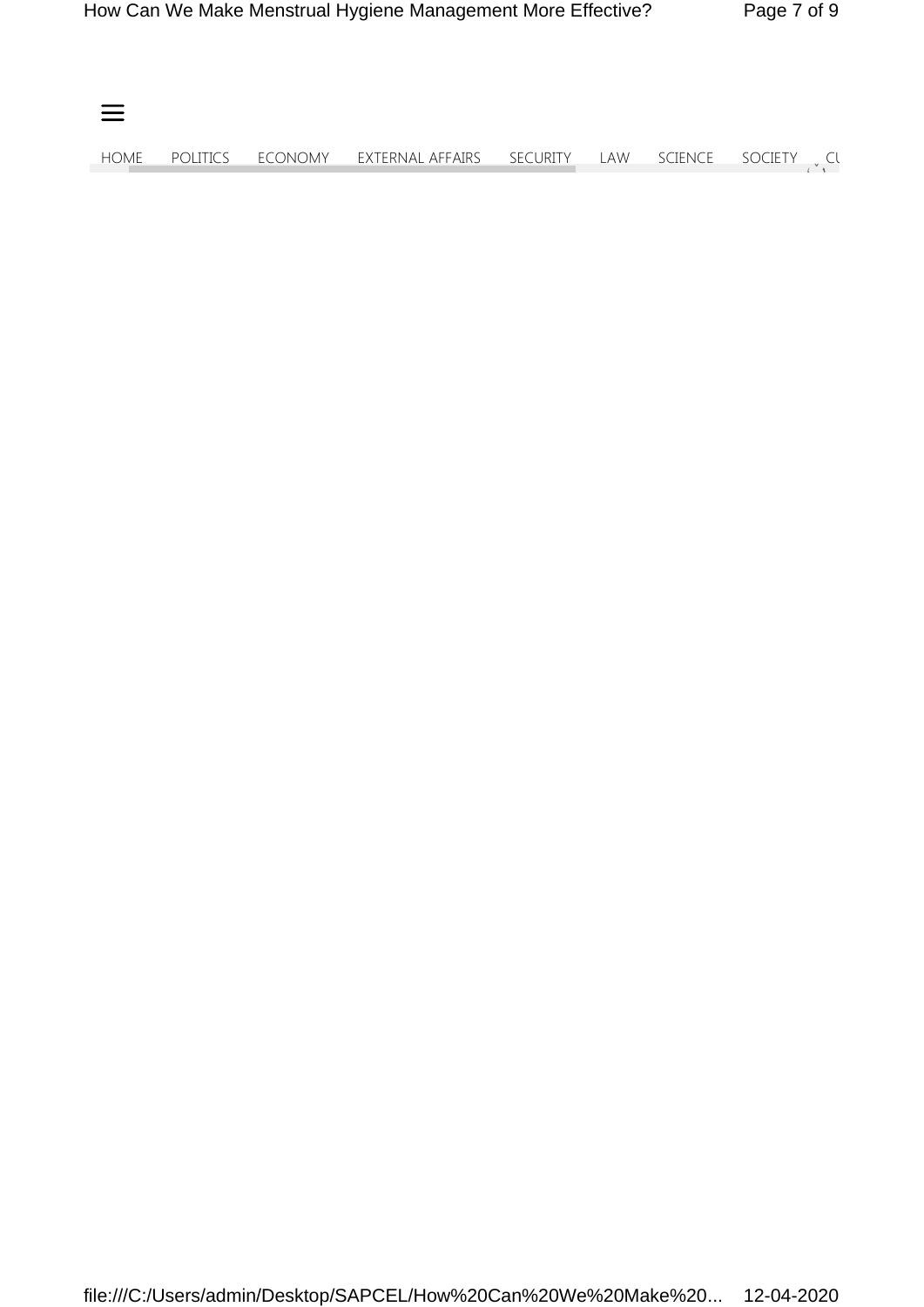| $\equiv$ |  |                                                                   |  |  |
|----------|--|-------------------------------------------------------------------|--|--|
| home     |  | POLITICS ECONOMY EXTERNAL AFFAIRS SECURITY LAW SCIENCE SOCIETY Cl |  |  |